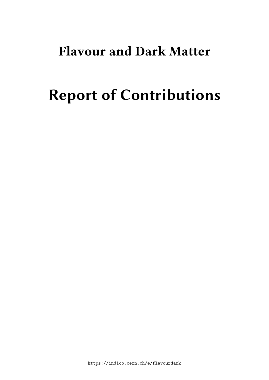# **Flavour and Dark Matter**

# **Report of Contributions**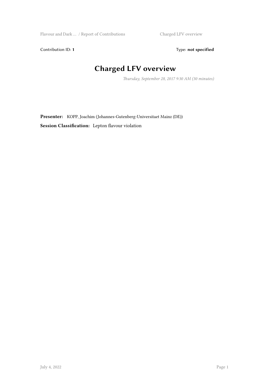Flavour and Dark … / Report of Contributions Charged LFV overview

Contribution ID: 1 Type: **not specified** 

#### **Charged LFV overview**

*Thursday, September 28, 2017 9:30 AM (30 minutes)*

**Presenter:** KOPP, Joachim (Johannes-Gutenberg-Universitaet Mainz (DE)) **Session Classification:** Lepton flavour violation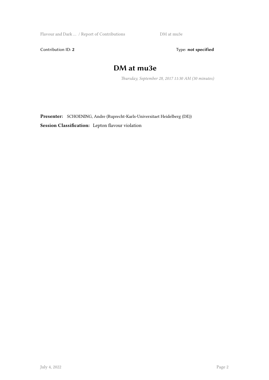Flavour and Dark … / Report of Contributions DM at mu3e

Contribution ID: 2 Type: **not specified** 

#### **DM at mu3e**

*Thursday, September 28, 2017 11:30 AM (30 minutes)*

**Presenter:** SCHOENING, Andre (Ruprecht-Karls-Universitaet Heidelberg (DE)) **Session Classification:** Lepton flavour violation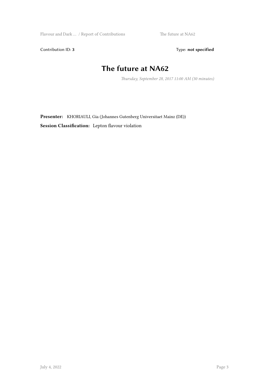Flavour and Dark … / Report of Contributions The future at NA62

Contribution ID: 3 Type: **not specified** 

#### **The future at NA62**

*Thursday, September 28, 2017 11:00 AM (30 minutes)*

**Presenter:** KHORIAULI, Gia (Johannes Gutenberg Universitaet Mainz (DE)) **Session Classification:** Lepton flavour violation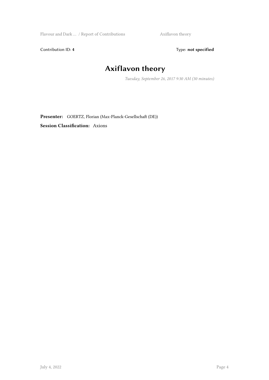Flavour and Dark … / Report of Contributions Axiflavon theory

Contribution ID: 4 Type: **not specified** 

# **Axiflavon theory**

*Tuesday, September 26, 2017 9:30 AM (30 minutes)*

**Presenter:** GOERTZ, Florian (Max-Planck-Gesellschaft (DE))

**Session Classification:** Axions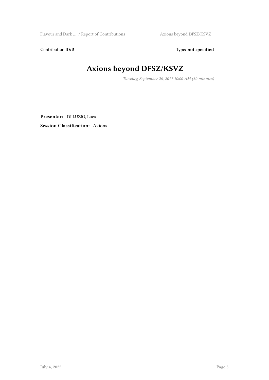Flavour and Dark … / Report of Contributions Axions beyond DFSZ/KSVZ

Contribution ID: 5 Type: **not specified** 

# **Axions beyond DFSZ/KSVZ**

*Tuesday, September 26, 2017 10:00 AM (30 minutes)*

**Presenter:** DI LUZIO, Luca **Session Classification:** Axions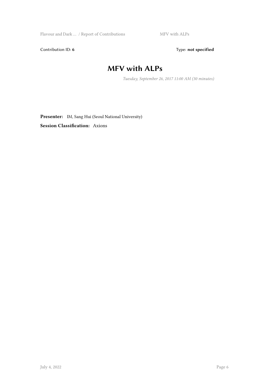Flavour and Dark … / Report of Contributions MFV with ALPs

Contribution ID: 6 Type: not specified

#### **MFV with ALPs**

*Tuesday, September 26, 2017 11:00 AM (30 minutes)*

Presenter: IM, Sang Hui (Seoul National University)

**Session Classification:** Axions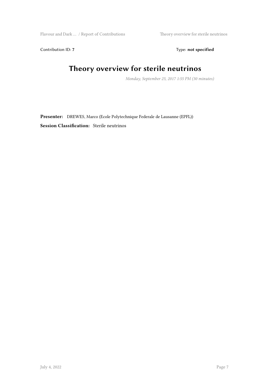Flavour and Dark ... / Report of Contributions Theory overview for sterile neutrinos

Contribution ID: 7 Type: **not specified** 

#### **Theory overview for sterile neutrinos**

*Monday, September 25, 2017 1:55 PM (30 minutes)*

**Presenter:** DREWES, Marco (Ecole Polytechnique Federale de Lausanne (EPFL)) **Session Classification:** Sterile neutrinos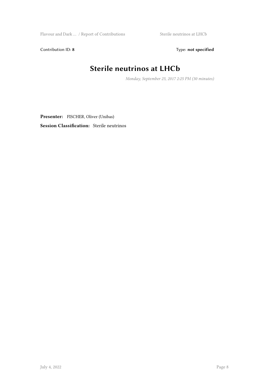${\it Flavour}$  and  ${\it Dark} \dots$  /  ${\it Report}$  of Contributions  $\hfill {\it Sterile}$  sterile neutrinos at LHCb

Contribution ID: 8 Type: not specified

#### **Sterile neutrinos at LHCb**

*Monday, September 25, 2017 2:25 PM (30 minutes)*

**Presenter:** FISCHER, Oliver (Unibas) **Session Classification:** Sterile neutrinos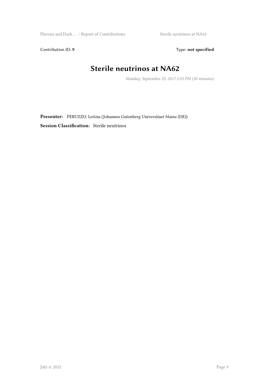Flavour and Dark … / Report of Contributions Sterile neutrinos at NA62

Contribution ID: 9 Type: **not specified** 

#### **Sterile neutrinos at NA62**

*Monday, September 25, 2017 2:55 PM (30 minutes)*

**Presenter:** PERUZZO, Letizia (Johannes Gutenberg Universitaet Mainz (DE)) **Session Classification:** Sterile neutrinos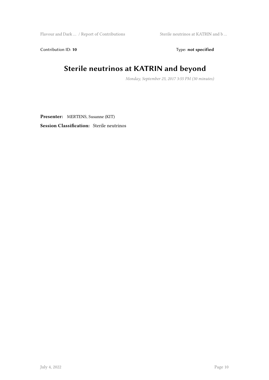Flavour and Dark … / Report of Contributions Sterile neutrinos at KATRIN and b …

Contribution ID: 10 Type: not specified

#### **Sterile neutrinos at KATRIN and beyond**

*Monday, September 25, 2017 3:55 PM (30 minutes)*

**Presenter:** MERTENS, Susanne (KIT)

**Session Classification:** Sterile neutrinos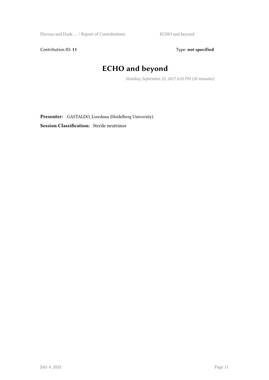Flavour and Dark … / Report of Contributions **ECHO** and beyond

Contribution ID: 11 Type: **not specified** 

#### **ECHO and beyond**

*Monday, September 25, 2017 4:25 PM (30 minutes)*

**Presenter:** GASTALDO, Loredana (Heidelberg University) **Session Classification:** Sterile neutrinos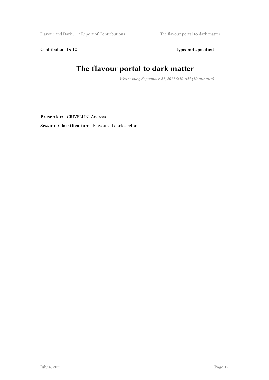Flavour and Dark … / Report of Contributions The flavour portal to dark matter

Contribution ID: 12 Type: **not specified** 

#### **The flavour portal to dark matter**

*Wednesday, September 27, 2017 9:30 AM (30 minutes)*

**Presenter:** CRIVELLIN, Andreas

**Session Classification:** Flavoured dark sector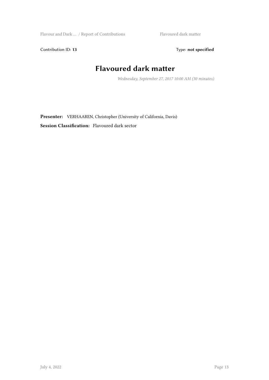Flavour and Dark ... / Report of Contributions Flavoured dark matter

Contribution ID: 13 Type: **not specified** 

#### **Flavoured dark matter**

*Wednesday, September 27, 2017 10:00 AM (30 minutes)*

**Presenter:** VERHAAREN, Christopher (University of California, Davis) **Session Classification:** Flavoured dark sector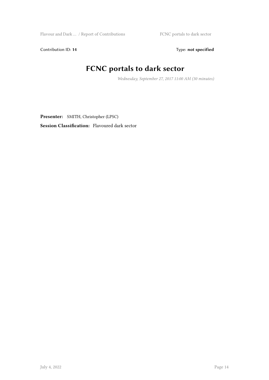Contribution ID: 14 Type: **not specified** 

#### **FCNC portals to dark sector**

*Wednesday, September 27, 2017 11:00 AM (30 minutes)*

**Presenter:** SMITH, Christopher (LPSC)

**Session Classification:** Flavoured dark sector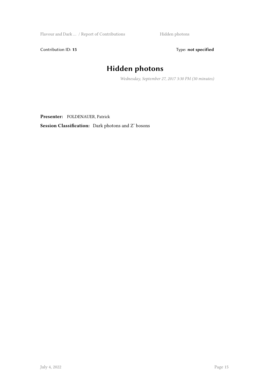Flavour and Dark … / Report of Contributions Hidden photons

Contribution ID: 15 Type: **not specified** 

#### **Hidden photons**

*Wednesday, September 27, 2017 3:30 PM (30 minutes)*

**Presenter:** FOLDENAUER, Patrick

**Session Classification:** Dark photons and Z' bosons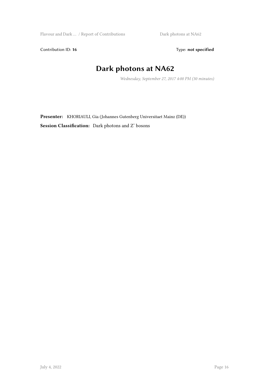Flavour and Dark … / Report of Contributions Dark photons at NA62

Contribution ID: 16 Type: not specified

#### **Dark photons at NA62**

*Wednesday, September 27, 2017 4:00 PM (30 minutes)*

**Presenter:** KHORIAULI, Gia (Johannes Gutenberg Universitaet Mainz (DE)) **Session Classification:** Dark photons and Z' bosons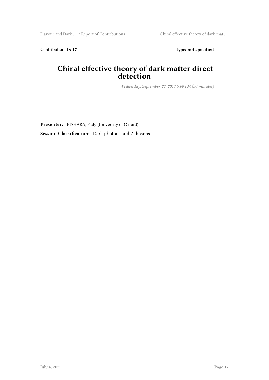Contribution ID: 17 Type: **not specified** 

#### **Chiral effective theory of dark matter direct detection**

*Wednesday, September 27, 2017 5:00 PM (30 minutes)*

**Presenter:** BISHARA, Fady (University of Oxford) **Session Classification:** Dark photons and Z' bosons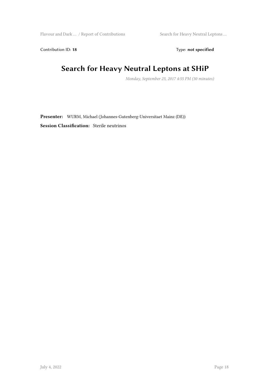Flavour and Dark … / Report of Contributions Search for Heavy Neutral Leptons …

Contribution ID: 18 Type: not specified

#### **Search for Heavy Neutral Leptons at SHiP**

*Monday, September 25, 2017 4:55 PM (30 minutes)*

**Presenter:** WURM, Michael (Johannes-Gutenberg-Universitaet Mainz (DE)) **Session Classification:** Sterile neutrinos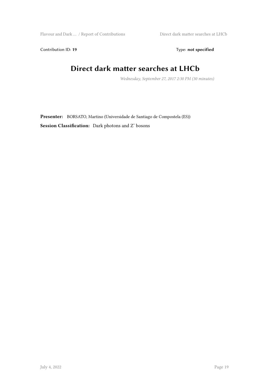Flavour and Dark ... / Report of Contributions Direct dark matter searches at LHCb

Contribution ID: 19 Type: **not specified** 

#### **Direct dark matter searches at LHCb**

*Wednesday, September 27, 2017 2:30 PM (30 minutes)*

**Presenter:** BORSATO, Martino (Universidade de Santiago de Compostela (ES)) **Session Classification:** Dark photons and Z' bosons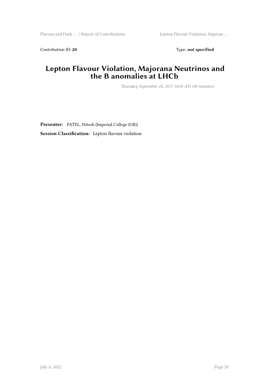Contribution ID: 20 Type: **not specified** 

#### **Lepton Flavour Violation, Majorana Neutrinos and the B anomalies at LHCb**

*Thursday, September 28, 2017 10:00 AM (30 minutes)*

**Presenter:** PATEL, Mitesh (Imperial College (GB)) **Session Classification:** Lepton flavour violation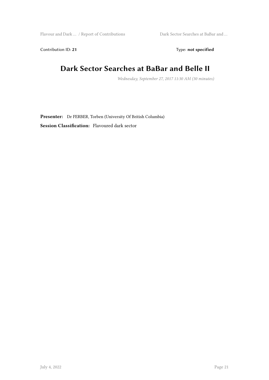Flavour and Dark … / Report of Contributions Dark Sector Searches at BaBar and …

Contribution ID: 21 Type: **not specified** 

#### **Dark Sector Searches at BaBar and Belle II**

*Wednesday, September 27, 2017 11:30 AM (30 minutes)*

**Presenter:** Dr FERBER, Torben (University Of British Columbia) **Session Classification:** Flavoured dark sector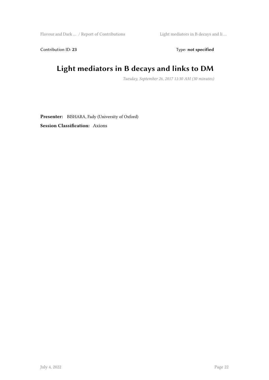Flavour and Dark … / Report of Contributions Light mediators in B decays and li …

Contribution ID: 23 Type: **not specified** 

# **Light mediators in B decays and links to DM**

*Tuesday, September 26, 2017 11:30 AM (30 minutes)*

**Presenter:** BISHARA, Fady (University of Oxford) **Session Classification:** Axions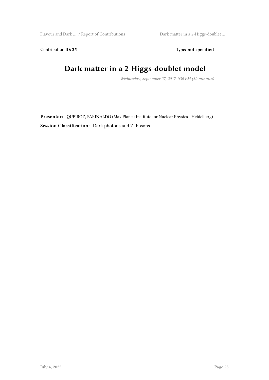Flavour and Dark … / Report of Contributions Dark matter in a 2-Higgs-doublet …

Contribution ID: 25 Type: **not specified** 

# **Dark matter in a 2-Higgs-doublet model**

*Wednesday, September 27, 2017 1:30 PM (30 minutes)*

**Presenter:** QUEIROZ, FARINALDO (Max Planck Institute for Nuclear Physics - Heidelberg) **Session Classification:** Dark photons and Z' bosons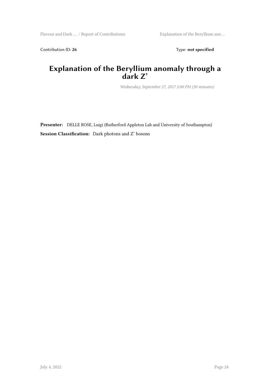Contribution ID: 26 Type: **not specified** 

#### **Explanation of the Beryllium anomaly through a dark Z'**

*Wednesday, September 27, 2017 2:00 PM (30 minutes)*

**Presenter:** DELLE ROSE, Luigi (Rutherford Appleton Lab and University of Southampton) **Session Classification:** Dark photons and Z' bosons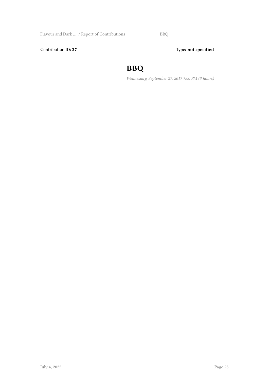Contribution ID: 27 Type: **not specified** 

#### **BBQ**

*Wednesday, September 27, 2017 7:00 PM (3 hours)*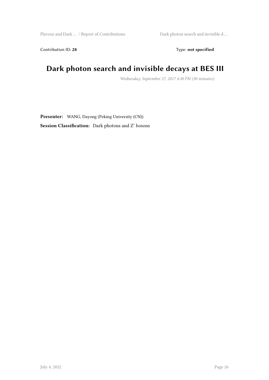Contribution ID: 28 Type: **not specified** 

#### **Dark photon search and invisible decays at BES III**

*Wednesday, September 27, 2017 4:30 PM (30 minutes)*

**Presenter:** WANG, Dayong (Peking University (CN)) **Session Classification:** Dark photons and Z' bosons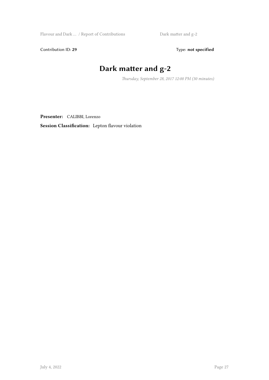Flavour and Dark … / Report of Contributions Dark matter and g-2

Contribution ID: 29 Type: **not specified** 

# **Dark matter and g-2**

*Thursday, September 28, 2017 12:00 PM (30 minutes)*

**Presenter:** CALIBBI, Lorenzo

**Session Classification:** Lepton flavour violation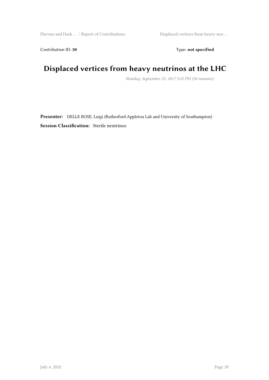Contribution ID: 30 Type: **not specified** 

#### **Displaced vertices from heavy neutrinos at the LHC**

*Monday, September 25, 2017 5:25 PM (30 minutes)*

**Presenter:** DELLE ROSE, Luigi (Rutherford Appleton Lab and University of Southampton) **Session Classification:** Sterile neutrinos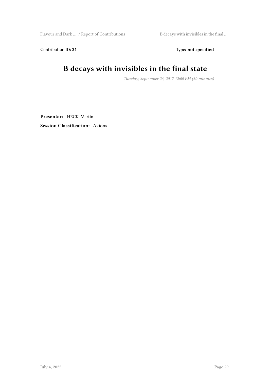Flavour and Dark … / Report of Contributions B decays with invisibles in the final …

Contribution ID: 31 Type: **not specified** 

#### **B decays with invisibles in the final state**

*Tuesday, September 26, 2017 12:00 PM (30 minutes)*

**Presenter:** HECK, Martin **Session Classification:** Axions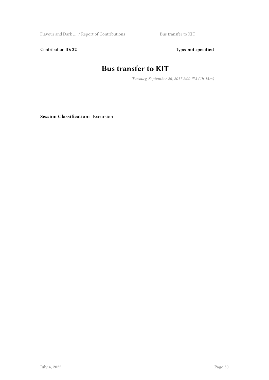Flavour and Dark … / Report of Contributions Bus transfer to KIT

Contribution ID: 32 Type: **not specified** 

#### **Bus transfer to KIT**

*Tuesday, September 26, 2017 2:00 PM (1h 15m)*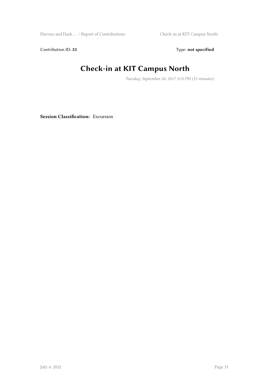Flavour and Dark … / Report of Contributions Check-in at KIT Campus North

Contribution ID: 33 Type: **not specified** 

### **Check-in at KIT Campus North**

*Tuesday, September 26, 2017 3:15 PM (15 minutes)*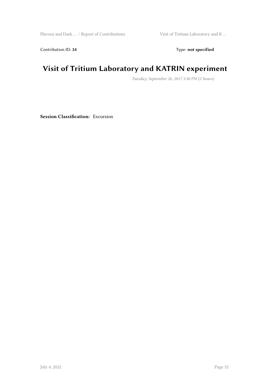Flavour and Dark  $\dots\,$  / Report of Contributions  $\hfill$  Visit of Tritium Laboratory and K  $\dots$ 

Contribution ID: 34 Type: **not specified** 

#### **Visit of Tritium Laboratory and KATRIN experiment**

*Tuesday, September 26, 2017 3:30 PM (2 hours)*